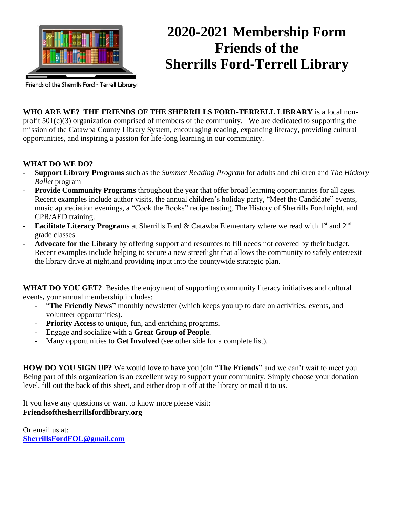

## **2020-2021 Membership Form Friends of the Sherrills Ford-Terrell Library**

Friends of the Sherrills Ford - Terrell Library

**WHO ARE WE? THE FRIENDS OF THE SHERRILLS FORD-TERRELL LIBRARY** is a local nonprofit 501(c)(3) organization comprised of members of the community. We are dedicated to supporting the mission of the Catawba County Library System, encouraging reading, expanding literacy, providing cultural opportunities, and inspiring a passion for life-long learning in our community.

## **WHAT DO WE DO?**

- **Support Library Programs** such as the *Summer Reading Program* for adults and children and *The Hickory Ballet* program
- **Provide Community Programs** throughout the year that offer broad learning opportunities for all ages. Recent examples include author visits, the annual children's holiday party, "Meet the Candidate" events, music appreciation evenings, a "Cook the Books" recipe tasting, The History of Sherrills Ford night, and CPR/AED training.
- **Facilitate Literacy Programs** at Sherrills Ford & Catawba Elementary where we read with 1<sup>st</sup> and 2<sup>nd</sup> grade classes.
- **Advocate for the Library** by offering support and resources to fill needs not covered by their budget. Recent examples include helping to secure a new streetlight that allows the community to safely enter/exit the library drive at night,and providing input into the countywide strategic plan.

**WHAT DO YOU GET?** Besides the enjoyment of supporting community literacy initiatives and cultural events**,** your annual membership includes:

- "**The Friendly News"** monthly newsletter (which keeps you up to date on activities, events, and volunteer opportunities).
- **Priority Access** to unique, fun, and enriching programs**.**
- Engage and socialize with a **Great Group of People**.
- Many opportunities to **Get Involved** (see other side for a complete list).

**HOW DO YOU SIGN UP?** We would love to have you join **"The Friends"** and we can't wait to meet you. Being part of this organization is an excellent way to support your community. Simply choose your donation level, fill out the back of this sheet, and either drop it off at the library or mail it to us.

If you have any questions or want to know more please visit: **Friendsofthesherrillsfordlibrary.org**

Or email us at: **[SherrillsFordFOL@gmail.com](about:blank)**